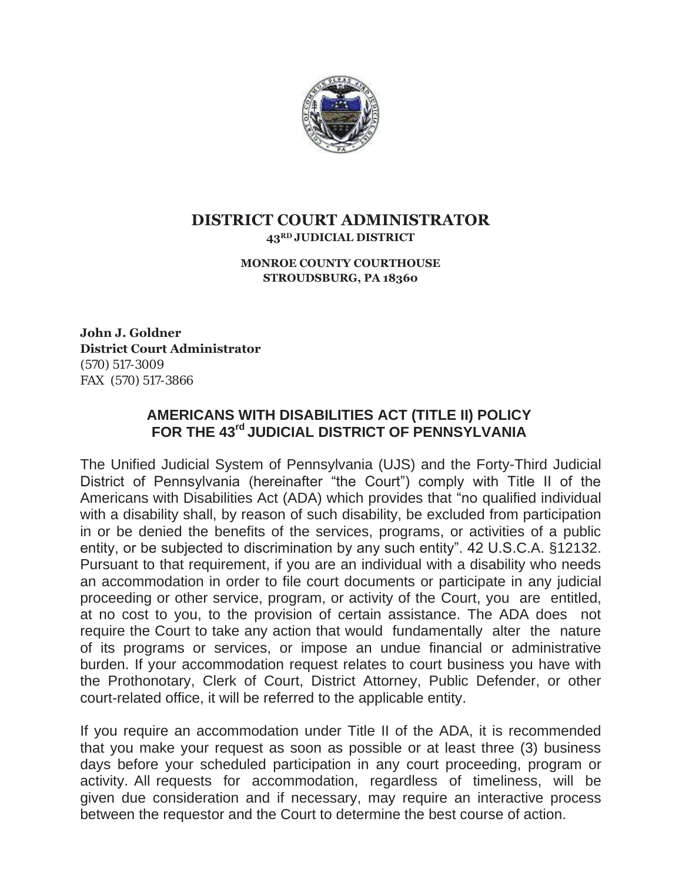

## **DISTRICT COURT ADMINISTRATOR 43RD JUDICIAL DISTRICT**

## **MONROE COUNTY COURTHOUSE STROUDSBURG, PA 18360**

**John J. Goldner District Court Administrator**  (570) 517-3009 FAX (570) 517-3866

## **AMERICANS WITH DISABILITIES ACT (TITLE II) POLICY FOR THE 43rd JUDICIAL DISTRICT OF PENNSYLVANIA**

The Unified Judicial System of Pennsylvania (UJS) and the Forty-Third Judicial District of Pennsylvania (hereinafter "the Court") comply with Title II of the Americans with Disabilities Act (ADA) which provides that "no qualified individual with a disability shall, by reason of such disability, be excluded from participation in or be denied the benefits of the services, programs, or activities of a public entity, or be subjected to discrimination by any such entity". 42 U.S.C.A. §12132. Pursuant to that requirement, if you are an individual with a disability who needs an accommodation in order to file court documents or participate in any judicial proceeding or other service, program, or activity of the Court, you are entitled, at no cost to you, to the provision of certain assistance. The ADA does not require the Court to take any action that would fundamentally alter the nature of its programs or services, or impose an undue financial or administrative burden. If your accommodation request relates to court business you have with the Prothonotary, Clerk of Court, District Attorney, Public Defender, or other court-related office, it will be referred to the applicable entity.

If you require an accommodation under Title II of the ADA, it is recommended that you make your request as soon as possible or at least three (3) business days before your scheduled participation in any court proceeding, program or activity. All requests for accommodation, regardless of timeliness, will be given due consideration and if necessary, may require an interactive process between the requestor and the Court to determine the best course of action.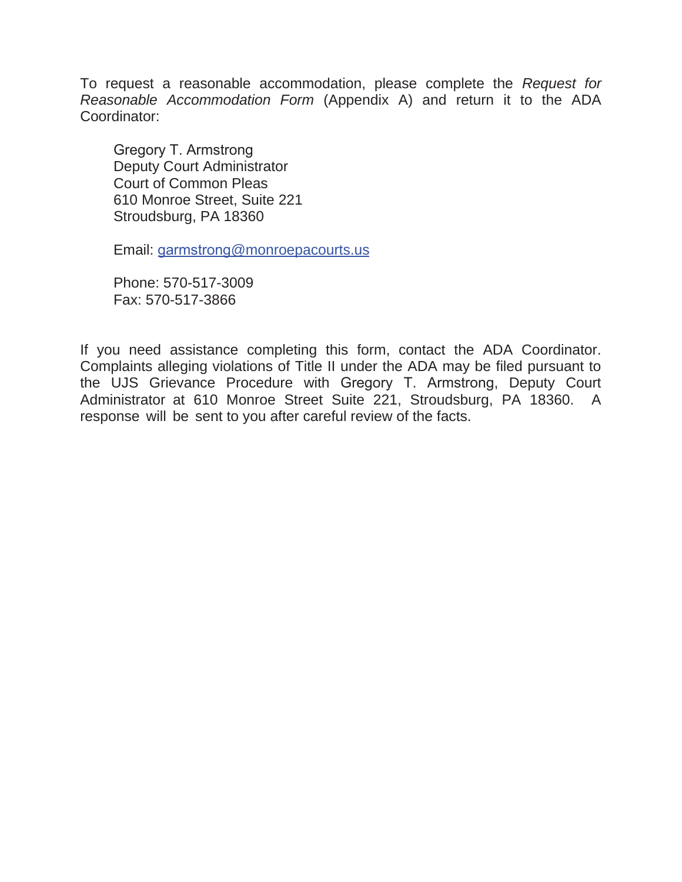To request a reasonable accommodation, please complete the *Request for Reasonable Accommodation Form* (Appendix A) and return it to the ADA Coordinator:

Gregory T. Armstrong Deputy Court Administrator Court of Common Pleas 610 Monroe Street, Suite 221 Stroudsburg, PA 18360

Email: garmstrong@monroepacourts.us

Phone: 570-517-3009 Fax: 570-517-3866

If you need assistance completing this form, contact the ADA Coordinator. Complaints alleging violations of Title II under the ADA may be filed pursuant to the UJS Grievance Procedure with Gregory T. Armstrong, Deputy Court Administrator at 610 Monroe Street Suite 221, Stroudsburg, PA 18360. A response will be sent to you after careful review of the facts.